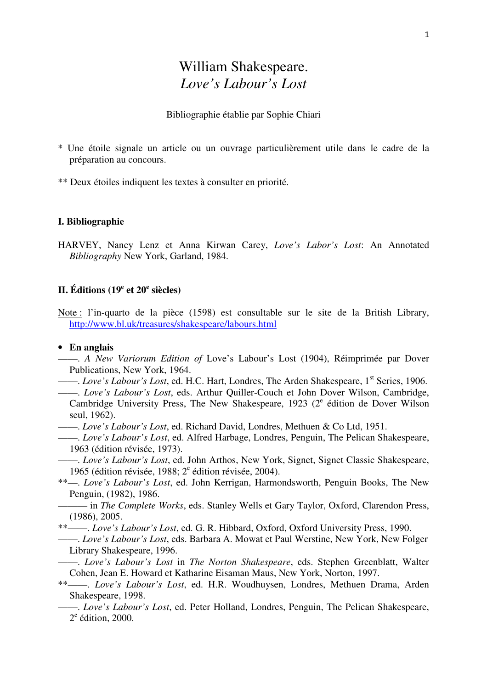# William Shakespeare. *Love's Labour's Lost*

Bibliographie établie par Sophie Chiari

- \* Une étoile signale un article ou un ouvrage particulièrement utile dans le cadre de la préparation au concours.
- \*\* Deux étoiles indiquent les textes à consulter en priorité.

#### **I. Bibliographie**

HARVEY, Nancy Lenz et Anna Kirwan Carey, *Love's Labor's Lost*: An Annotated *Bibliography* New York, Garland, 1984.

## **II. Éditions (19<sup>e</sup> et 20<sup>e</sup> siècles)**

Note : l'in-quarto de la pièce (1598) est consultable sur le site de la British Library, http://www.bl.uk/treasures/shakespeare/labours.html

- **En anglais**
- ——. *A New Variorum Edition of* Love's Labour's Lost (1904), Réimprimée par Dover Publications, New York, 1964.
- ——. *Love's Labour's Lost*, ed. H.C. Hart, Londres, The Arden Shakespeare, 1st Series, 1906.
- ——. *Love's Labour's Lost*, eds. Arthur Quiller-Couch et John Dover Wilson, Cambridge, Cambridge University Press, The New Shakespeare, 1923 ( $2^e$  édition de Dover Wilson seul, 1962).
- ——. *Love's Labour's Lost*, ed. Richard David, Londres, Methuen & Co Ltd, 1951.
- ——. *Love's Labour's Lost*, ed. Alfred Harbage, Londres, Penguin, The Pelican Shakespeare, 1963 (édition révisée, 1973).
- ——. *Love's Labour's Lost*, ed. John Arthos, New York, Signet, Signet Classic Shakespeare, 1965 (édition révisée, 1988;  $2^e$  édition révisée, 2004).
- \*\*—. *Love's Labour's Lost*, ed. John Kerrigan, Harmondsworth, Penguin Books, The New Penguin, (1982), 1986.
- ——— in *The Complete Works*, eds. Stanley Wells et Gary Taylor, Oxford, Clarendon Press, (1986), 2005.
- \*\*——. *Love's Labour's Lost*, ed. G. R. Hibbard, Oxford, Oxford University Press, 1990.
- ——. *Love's Labour's Lost*, eds. Barbara A. Mowat et Paul Werstine, New York, New Folger Library Shakespeare, 1996.
- ——. *Love's Labour's Lost* in *The Norton Shakespeare*, eds. Stephen Greenblatt, Walter Cohen, Jean E. Howard et Katharine Eisaman Maus, New York, Norton, 1997.
- \*\*——. *Love's Labour's Lost*, ed. H.R. Woudhuysen, Londres, Methuen Drama, Arden Shakespeare, 1998.
	- ——. *Love's Labour's Lost*, ed. Peter Holland, Londres, Penguin, The Pelican Shakespeare, 2<sup>e</sup> édition, 2000.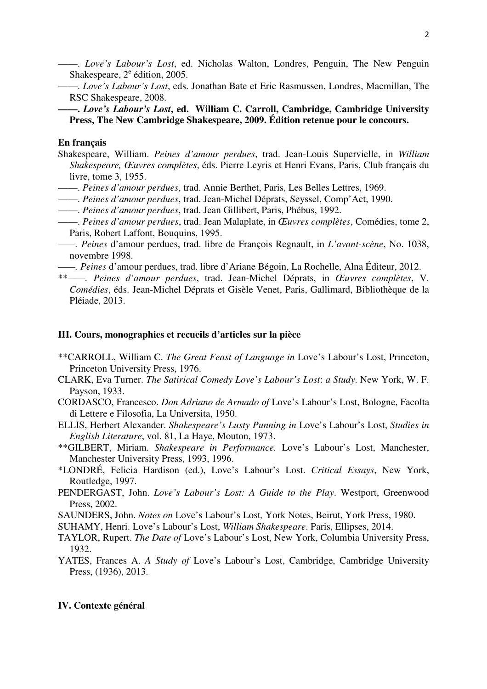- ——. *Love's Labour's Lost*, ed. Nicholas Walton, Londres, Penguin, The New Penguin Shakespeare,  $2^e$  édition, 2005.
- ——. *Love's Labour's Lost*, eds. Jonathan Bate et Eric Rasmussen, Londres, Macmillan, The RSC Shakespeare, 2008.

## **——.** *Love's Labour's Lost***, ed. William C. Carroll, Cambridge, Cambridge University Press, The New Cambridge Shakespeare, 2009. Édition retenue pour le concours.**

## **En français**

- Shakespeare, William. *Peines d'amour perdues*, trad. Jean-Louis Supervielle, in *William Shakespeare, Œuvres complètes*, éds. Pierre Leyris et Henri Evans, Paris, Club français du livre, tome 3, 1955.
- ——. *Peines d'amour perdues*, trad. Annie Berthet, Paris, Les Belles Lettres, 1969.
- ——. *Peines d'amour perdues*, trad. Jean-Michel Déprats, Seyssel, Comp'Act, 1990.
- ——. *Peines d'amour perdues*, trad. Jean Gillibert, Paris, Phébus, 1992.
- ——. *Peines d'amour perdues*, trad. Jean Malaplate, in *Œuvres complètes*, Comédies, tome 2, Paris, Robert Laffont, Bouquins, 1995.
- *——. Peines* d'amour perdues, trad. libre de François Regnault, in *L'avant-scène*, No. 1038, novembre 1998.
- *——. Peines* d'amour perdues, trad. libre d'Ariane Bégoin, La Rochelle, Alna Éditeur, 2012.
- \*\**——. Peines d'amour perdues*, trad. Jean-Michel Déprats, in *Œuvres complètes*, V. *Comédies*, éds. Jean-Michel Déprats et Gisèle Venet, Paris, Gallimard, Bibliothèque de la Pléiade, 2013.

#### **III. Cours, monographies et recueils d'articles sur la pièce**

- \*\*CARROLL, William C. *The Great Feast of Language in* Love's Labour's Lost, Princeton, Princeton University Press, 1976.
- CLARK, Eva Turner. *The Satirical Comedy Love's Labour's Lost*: *a Study*. New York, W. F. Payson, 1933.
- CORDASCO, Francesco. *Don Adriano de Armado of* Love's Labour's Lost, Bologne, Facolta di Lettere e Filosofia, La Universita, 1950.
- ELLIS, Herbert Alexander. *Shakespeare's Lusty Punning in* Love's Labour's Lost, *Studies in English Literature*, vol. 81, La Haye, Mouton, 1973.
- \*\*GILBERT, Miriam. *Shakespeare in Performance.* Love's Labour's Lost, Manchester, Manchester University Press, 1993, 1996.
- \*LONDRÉ, Felicia Hardison (ed.), Love's Labour's Lost. *Critical Essays*, New York, Routledge, 1997.
- PENDERGAST, John. *Love's Labour's Lost: A Guide to the Play*. Westport, Greenwood Press, 2002.
- SAUNDERS, John. *Notes on* Love's Labour's Lost*,* York Notes, Beirut, York Press, 1980.
- SUHAMY, Henri. Love's Labour's Lost, *William Shakespeare*. Paris, Ellipses, 2014.
- TAYLOR, Rupert. *The Date of* Love's Labour's Lost, New York, Columbia University Press, 1932.
- YATES, Frances A. *A Study of* Love's Labour's Lost, Cambridge, Cambridge University Press, (1936), 2013.

#### **IV. Contexte général**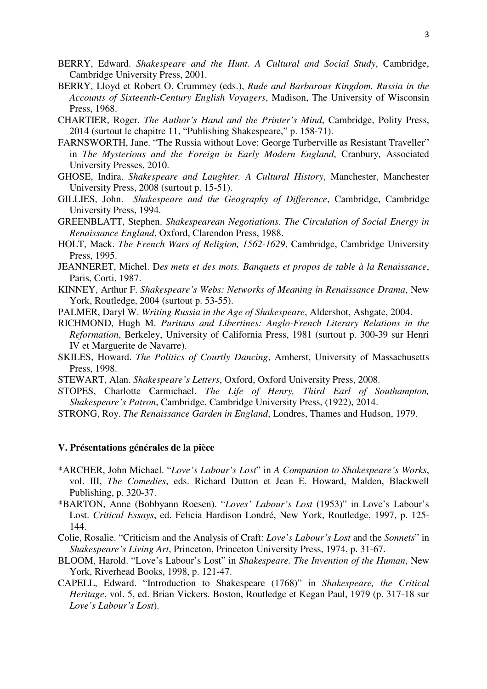- BERRY, Edward. *Shakespeare and the Hunt. A Cultural and Social Study*, Cambridge, Cambridge University Press, 2001.
- BERRY, Lloyd et Robert O. Crummey (eds.), *Rude and Barbarous Kingdom. Russia in the Accounts of Sixteenth-Century English Voyagers*, Madison, The University of Wisconsin Press, 1968.
- CHARTIER, Roger. *The Author's Hand and the Printer's Mind*, Cambridge, Polity Press, 2014 (surtout le chapitre 11, "Publishing Shakespeare," p. 158-71).
- FARNSWORTH, Jane. "The Russia without Love: George Turberville as Resistant Traveller" in *The Mysterious and the Foreign in Early Modern England*, Cranbury, Associated University Presses, 2010.
- GHOSE, Indira. *Shakespeare and Laughter. A Cultural History*, Manchester, Manchester University Press, 2008 (surtout p. 15-51).
- GILLIES, John. *Shakespeare and the Geography of Difference*, Cambridge, Cambridge University Press, 1994.
- GREENBLATT, Stephen. *Shakespearean Negotiations. The Circulation of Social Energy in Renaissance England*, Oxford, Clarendon Press, 1988.
- HOLT, Mack. *The French Wars of Religion, 1562-1629*, Cambridge, Cambridge University Press, 1995.
- JEANNERET, Michel. D*es mets et des mots. Banquets et propos de table à la Renaissance*, Paris, Corti, 1987.
- KINNEY, Arthur F. *Shakespeare's Webs: Networks of Meaning in Renaissance Drama*, New York, Routledge, 2004 (surtout p. 53-55).
- PALMER, Daryl W. *Writing Russia in the Age of Shakespeare*, Aldershot, Ashgate, 2004.
- RICHMOND, Hugh M. *Puritans and Libertines: Anglo-French Literary Relations in the Reformation*, Berkeley, University of California Press, 1981 (surtout p. 300-39 sur Henri IV et Marguerite de Navarre).
- SKILES, Howard. *The Politics of Courtly Dancing*, Amherst, University of Massachusetts Press, 1998.
- STEWART, Alan. *Shakespeare's Letters*, Oxford, Oxford University Press, 2008.
- STOPES, Charlotte Carmichael. *The Life of Henry, Third Earl of Southampton, Shakespeare's Patron*, Cambridge, Cambridge University Press, (1922), 2014.
- STRONG, Roy. *The Renaissance Garden in England*, Londres, Thames and Hudson, 1979.

#### **V. Présentations générales de la pièce**

- \*ARCHER, John Michael. "*Love's Labour's Lost*" in *A Companion to Shakespeare's Works*, vol. III, *The Comedies*, eds. Richard Dutton et Jean E. Howard, Malden, Blackwell Publishing, p. 320-37.
- \*BARTON, Anne (Bobbyann Roesen). "*Loves' Labour's Lost* (1953)" in Love's Labour's Lost. *Critical Essays*, ed. Felicia Hardison Londré, New York, Routledge, 1997, p. 125- 144.
- Colie, Rosalie. "Criticism and the Analysis of Craft: *Love's Labour's Lost* and the *Sonnets*" in *Shakespeare's Living Art*, Princeton, Princeton University Press, 1974, p. 31-67.
- BLOOM, Harold. "Love's Labour's Lost" in *Shakespeare. The Invention of the Human*, New York, Riverhead Books, 1998, p. 121-47.
- CAPELL, Edward. "Introduction to Shakespeare (1768)" in *Shakespeare, the Critical Heritage*, vol. 5, ed. Brian Vickers. Boston, Routledge et Kegan Paul, 1979 (p. 317-18 sur *Love's Labour's Lost*).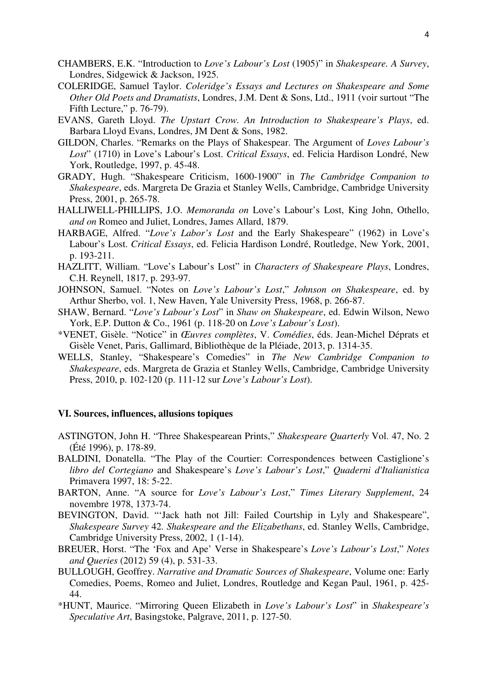- CHAMBERS, E.K. "Introduction to *Love's Labour's Lost* (1905)" in *Shakespeare. A Survey*, Londres, Sidgewick & Jackson, 1925.
- COLERIDGE, Samuel Taylor. *Coleridge's Essays and Lectures on Shakespeare and Some Other Old Poets and Dramatists*, Londres, J.M. Dent & Sons, Ltd., 1911 (voir surtout "The Fifth Lecture," p. 76-79).
- EVANS, Gareth Lloyd. *The Upstart Crow. An Introduction to Shakespeare's Plays*, ed. Barbara Lloyd Evans, Londres, JM Dent & Sons, 1982.
- GILDON, Charles. "Remarks on the Plays of Shakespear. The Argument of *Loves Labour's Lost*" (1710) in Love's Labour's Lost. *Critical Essays*, ed. Felicia Hardison Londré, New York, Routledge, 1997, p. 45-48.
- GRADY, Hugh. "Shakespeare Criticism, 1600-1900" in *The Cambridge Companion to Shakespeare*, eds. Margreta De Grazia et Stanley Wells, Cambridge, Cambridge University Press, 2001, p. 265-78.
- HALLIWELL-PHILLIPS, J.O. *Memoranda on* Love's Labour's Lost, King John, Othello, *and on* Romeo and Juliet, Londres, James Allard, 1879.
- HARBAGE, Alfred. "*Love's Labor's Lost* and the Early Shakespeare" (1962) in Love's Labour's Lost. *Critical Essays*, ed. Felicia Hardison Londré, Routledge, New York, 2001, p. 193-211.
- HAZLITT, William. "Love's Labour's Lost" in *Characters of Shakespeare Plays*, Londres, C.H. Reynell, 1817, p. 293-97.
- JOHNSON, Samuel. "Notes on *Love's Labour's Lost*," *Johnson on Shakespeare*, ed. by Arthur Sherbo, vol. 1, New Haven, Yale University Press, 1968, p. 266-87.
- SHAW, Bernard. "*Love's Labour's Lost*" in *Shaw on Shakespeare*, ed. Edwin Wilson, Newo York, E.P. Dutton & Co., 1961 (p. 118-20 on *Love's Labour's Lost*).
- \*VENET, Gisèle. "Notice" in *Œuvres complètes*, V. *Comédies*, éds. Jean-Michel Déprats et Gisèle Venet, Paris, Gallimard, Bibliothèque de la Pléiade, 2013, p. 1314-35.
- WELLS, Stanley, "Shakespeare's Comedies" in *The New Cambridge Companion to Shakespeare*, eds. Margreta de Grazia et Stanley Wells, Cambridge, Cambridge University Press, 2010, p. 102-120 (p. 111-12 sur *Love's Labour's Lost*).

#### **VI. Sources, influences, allusions topiques**

- ASTINGTON, John H. "Three Shakespearean Prints," *Shakespeare Quarterly* Vol. 47, No. 2 (Été 1996), p. 178-89.
- BALDINI, Donatella. "The Play of the Courtier: Correspondences between Castiglione's *libro del Cortegiano* and Shakespeare's *Love's Labour's Lost*," *Quaderni d'Italianistica* Primavera 1997, 18: 5-22.
- BARTON, Anne. "A source for *Love's Labour's Lost*," *Times Literary Supplement*, 24 novembre 1978, 1373-74.
- BEVINGTON, David. "'Jack hath not Jill: Failed Courtship in Lyly and Shakespeare", *Shakespeare Survey* 42. *Shakespeare and the Elizabethans*, ed. Stanley Wells, Cambridge, Cambridge University Press, 2002, 1 (1-14).
- BREUER, Horst. "The 'Fox and Ape' Verse in Shakespeare's *Love's Labour's Lost*," *Notes and Queries* (2012) 59 (4), p. 531-33.
- BULLOUGH, Geoffrey. *Narrative and Dramatic Sources of Shakespeare*, Volume one: Early Comedies, Poems, Romeo and Juliet, Londres, Routledge and Kegan Paul, 1961, p. 425- 44.
- \*HUNT, Maurice. "Mirroring Queen Elizabeth in *Love's Labour's Lost*" in *Shakespeare's Speculative Art*, Basingstoke, Palgrave, 2011, p. 127-50.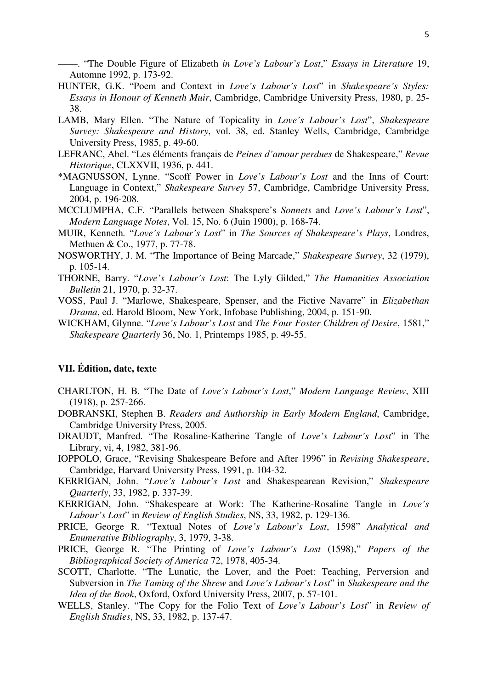——. "The Double Figure of Elizabeth *in Love's Labour's Lost*," *Essays in Literature* 19, Automne 1992, p. 173-92.

- HUNTER, G.K. "Poem and Context in *Love's Labour's Lost*" in *Shakespeare's Styles: Essays in Honour of Kenneth Muir*, Cambridge, Cambridge University Press, 1980, p. 25- 38.
- LAMB, Mary Ellen. "The Nature of Topicality in *Love's Labour's Lost*", *Shakespeare Survey: Shakespeare and History*, vol. 38, ed. Stanley Wells, Cambridge, Cambridge University Press, 1985, p. 49-60.
- LEFRANC, Abel. "Les éléments français de *Peines d'amour perdues* de Shakespeare," *Revue Historique*, CLXXVII, 1936, p. 441.
- \*MAGNUSSON, Lynne. "Scoff Power in *Love's Labour's Lost* and the Inns of Court: Language in Context," *Shakespeare Survey* 57, Cambridge, Cambridge University Press, 2004, p. 196-208.
- MCCLUMPHA, C.F. "Parallels between Shakspere's *Sonnets* and *Love's Labour's Lost*", *Modern Language Notes*, Vol. 15, No. 6 (Juin 1900), p. 168-74.
- MUIR, Kenneth*.* "*Love's Labour's Lost*" in *The Sources of Shakespeare's Plays*, Londres, Methuen & Co., 1977, p. 77-78.
- NOSWORTHY, J. M. "The Importance of Being Marcade," *Shakespeare Survey*, 32 (1979), p. 105-14.
- THORNE, Barry. "*Love's Labour's Lost*: The Lyly Gilded," *The Humanities Association Bulletin* 21, 1970, p. 32-37.
- VOSS, Paul J. "Marlowe, Shakespeare, Spenser, and the Fictive Navarre" in *Elizabethan Drama*, ed. Harold Bloom, New York, Infobase Publishing, 2004, p. 151-90.
- WICKHAM, Glynne. "*Love's Labour's Lost* and *The Four Foster Children of Desire*, 1581," *Shakespeare Quarterly* 36, No. 1, Printemps 1985, p. 49-55.

## **VII. Édition, date, texte**

- CHARLTON, H. B. "The Date of *Love's Labour's Lost*," *Modern Language Review*, XIII (1918), p. 257-266.
- DOBRANSKI, Stephen B. *Readers and Authorship in Early Modern England*, Cambridge, Cambridge University Press, 2005.
- DRAUDT, Manfred. "The Rosaline-Katherine Tangle of *Love's Labour's Lost*" in The Library, vi, 4, 1982, 381-96.
- IOPPOLO, Grace, "Revising Shakespeare Before and After 1996" in *Revising Shakespeare*, Cambridge, Harvard University Press, 1991, p. 104-32.
- KERRIGAN, John. "*Love's Labour's Lost* and Shakespearean Revision," *Shakespeare Quarterly*, 33, 1982, p. 337-39.
- KERRIGAN, John. "Shakespeare at Work: The Katherine-Rosaline Tangle in *Love's Labour's Lost*" in *Review of English Studies*, NS, 33, 1982, p. 129-136.
- PRICE, George R. "Textual Notes of *Love's Labour's Lost*, 1598" *Analytical and Enumerative Bibliography*, 3, 1979, 3-38.
- PRICE, George R. "The Printing of *Love's Labour's Lost* (1598)," *Papers of the Bibliographical Society of America* 72, 1978, 405-34.
- SCOTT, Charlotte. "The Lunatic, the Lover, and the Poet: Teaching, Perversion and Subversion in *The Taming of the Shrew* and *Love's Labour's Lost*" in *Shakespeare and the Idea of the Book*, Oxford, Oxford University Press, 2007, p. 57-101.
- WELLS, Stanley. "The Copy for the Folio Text of *Love's Labour's Lost*" in *Review of English Studies*, NS, 33, 1982, p. 137-47.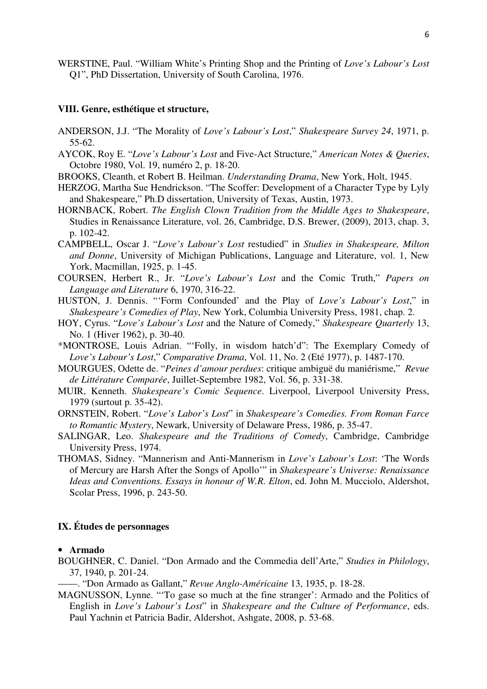WERSTINE, Paul. "William White's Printing Shop and the Printing of *Love's Labour's Lost* Q1", PhD Dissertation, University of South Carolina, 1976.

#### **VIII. Genre, esthétique et structure,**

- ANDERSON, J.J. "The Morality of *Love's Labour's Lost*," *Shakespeare Survey 24*, 1971, p. 55-62.
- AYCOK, Roy E. "*Love's Labour's Lost* and Five-Act Structure," *American Notes & Queries*, Octobre 1980, Vol. 19, numéro 2, p. 18-20.
- BROOKS, Cleanth, et Robert B. Heilman. *Understanding Drama*, New York, Holt, 1945.
- HERZOG, Martha Sue Hendrickson. "The Scoffer: Development of a Character Type by Lyly and Shakespeare," Ph.D dissertation, University of Texas, Austin, 1973.
- HORNBACK, Robert. *The English Clown Tradition from the Middle Ages to Shakespeare*, Studies in Renaissance Literature, vol. 26, Cambridge, D.S. Brewer, (2009), 2013, chap. 3, p. 102-42.
- CAMPBELL, Oscar J. "*Love's Labour's Lost* restudied" in *Studies in Shakespeare, Milton and Donne*, University of Michigan Publications, Language and Literature, vol. 1, New York, Macmillan, 1925, p. 1-45.
- COURSEN, Herbert R., Jr. "*Love's Labour's Lost* and the Comic Truth," *Papers on Language and Literature* 6, 1970, 316-22.
- HUSTON, J. Dennis. "'Form Confounded' and the Play of *Love's Labour's Lost*," in *Shakespeare's Comedies of Play*, New York, Columbia University Press, 1981, chap. 2.
- HOY, Cyrus. "*Love's Labour's Lost* and the Nature of Comedy," *Shakespeare Quarterly* 13, No. 1 (Hiver 1962), p. 30-40.
- \*MONTROSE, Louis Adrian. "'Folly, in wisdom hatch'd": The Exemplary Comedy of *Love's Labour's Lost*," *Comparative Drama*, Vol. 11, No. 2 (Eté 1977), p. 1487-170.
- MOURGUES, Odette de. "*Peines d'amour perdues*: critique ambiguë du maniérisme," *Revue de Littérature Comparée*, Juillet-Septembre 1982, Vol. 56, p. 331-38.
- MUIR, Kenneth. *Shakespeare's Comic Sequence*. Liverpool, Liverpool University Press, 1979 (surtout p. 35-42).
- ORNSTEIN, Robert. "*Love's Labor's Lost*" in *Shakespeare's Comedies. From Roman Farce to Romantic Mystery*, Newark, University of Delaware Press, 1986, p. 35-47.
- SALINGAR, Leo. *Shakespeare and the Traditions of Comedy*, Cambridge, Cambridge University Press, 1974.
- THOMAS, Sidney. "Mannerism and Anti-Mannerism in *Love's Labour's Lost*: 'The Words of Mercury are Harsh After the Songs of Apollo'" in *Shakespeare's Universe: Renaissance Ideas and Conventions. Essays in honour of W.R. Elton*, ed. John M. Mucciolo, Aldershot, Scolar Press, 1996, p. 243-50.

## **IX. Études de personnages**

#### • **Armado**

- BOUGHNER, C. Daniel. "Don Armado and the Commedia dell'Arte," *Studies in Philology*, 37, 1940, p. 201-24.
	- ——. "Don Armado as Gallant," *Revue Anglo-Américaine* 13, 1935, p. 18-28.
- MAGNUSSON, Lynne. "'To gase so much at the fine stranger': Armado and the Politics of English in *Love's Labour's Lost*" in *Shakespeare and the Culture of Performance*, eds. Paul Yachnin et Patricia Badir, Aldershot, Ashgate, 2008, p. 53-68.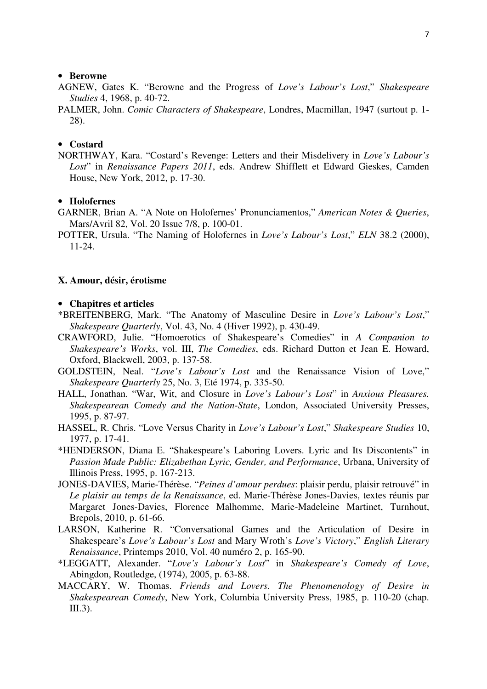#### • **Berowne**

- AGNEW, Gates K. "Berowne and the Progress of *Love's Labour's Lost*," *Shakespeare Studies* 4, 1968, p. 40-72.
- PALMER, John. *Comic Characters of Shakespeare*, Londres, Macmillan, 1947 (surtout p. 1- 28).

## • **Costard**

NORTHWAY, Kara. "Costard's Revenge: Letters and their Misdelivery in *Love's Labour's Lost*" in *Renaissance Papers 2011*, eds. Andrew Shifflett et Edward Gieskes, Camden House, New York, 2012, p. 17-30.

## • **Holofernes**

- GARNER, Brian A. "A Note on Holofernes' Pronunciamentos," *American Notes & Queries*, Mars/Avril 82, Vol. 20 Issue 7/8, p. 100-01.
- POTTER, Ursula. "The Naming of Holofernes in *Love's Labour's Lost*," *ELN* 38.2 (2000), 11-24.

#### **X. Amour, désir, érotisme**

#### • **Chapitres et articles**

- \*BREITENBERG, Mark. "The Anatomy of Masculine Desire in *Love's Labour's Lost*," *Shakespeare Quarterly*, Vol. 43, No. 4 (Hiver 1992), p. 430-49.
- CRAWFORD, Julie. "Homoerotics of Shakespeare's Comedies" in *A Companion to Shakespeare's Works*, vol. III, *The Comedies*, eds. Richard Dutton et Jean E. Howard, Oxford, Blackwell, 2003, p. 137-58.
- GOLDSTEIN, Neal. "*Love's Labour's Lost* and the Renaissance Vision of Love," *Shakespeare Quarterly* 25, No. 3, Eté 1974, p. 335-50.
- HALL, Jonathan. "War, Wit, and Closure in *Love's Labour's Lost*" in *Anxious Pleasures. Shakespearean Comedy and the Nation-State*, London, Associated University Presses, 1995, p. 87-97.
- HASSEL, R. Chris. "Love Versus Charity in *Love's Labour's Lost*," *Shakespeare Studies* 10, 1977, p. 17-41.
- \*HENDERSON, Diana E. "Shakespeare's Laboring Lovers. Lyric and Its Discontents" in *Passion Made Public: Elizabethan Lyric, Gender, and Performance*, Urbana, University of Illinois Press, 1995, p. 167-213.
- JONES-DAVIES, Marie-Thérèse. "*Peines d'amour perdues*: plaisir perdu, plaisir retrouvé" in *Le plaisir au temps de la Renaissance*, ed. Marie-Thérèse Jones-Davies, textes réunis par Margaret Jones-Davies, Florence Malhomme, Marie-Madeleine Martinet, Turnhout, Brepols, 2010, p. 61-66.
- LARSON, Katherine R. "Conversational Games and the Articulation of Desire in Shakespeare's *Love's Labour's Lost* and Mary Wroth's *Love's Victory*," *English Literary Renaissance*, Printemps 2010, Vol. 40 numéro 2, p. 165-90.
- \*LEGGATT, Alexander. "*Love's Labour's Lost*" in *Shakespeare's Comedy of Love*, Abingdon, Routledge, (1974), 2005, p. 63-88.
- MACCARY, W. Thomas. *Friends and Lovers. The Phenomenology of Desire in Shakespearean Comedy*, New York, Columbia University Press, 1985, p. 110-20 (chap. III.3).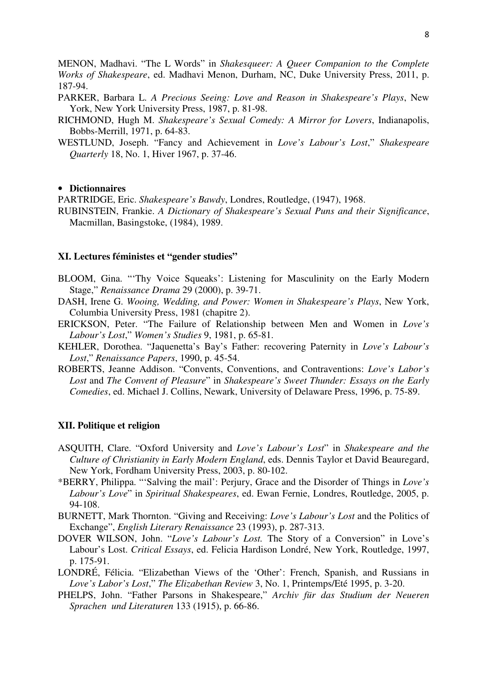MENON, Madhavi. "The L Words" in *Shakesqueer: A Queer Companion to the Complete Works of Shakespeare*, ed. Madhavi Menon, Durham, NC, Duke University Press, 2011, p. 187-94.

- PARKER, Barbara L. *A Precious Seeing: Love and Reason in Shakespeare's Plays*, New York, New York University Press, 1987, p. 81-98.
- RICHMOND, Hugh M. *Shakespeare's Sexual Comedy: A Mirror for Lovers*, Indianapolis, Bobbs-Merrill, 1971, p. 64-83.
- WESTLUND, Joseph. "Fancy and Achievement in *Love's Labour's Lost*," *Shakespeare Quarterly* 18, No. 1, Hiver 1967, p. 37-46.

## • **Dictionnaires**

PARTRIDGE, Eric. *Shakespeare's Bawdy*, Londres, Routledge, (1947), 1968.

RUBINSTEIN, Frankie. *A Dictionary of Shakespeare's Sexual Puns and their Significance*, Macmillan, Basingstoke, (1984), 1989.

## **XI. Lectures féministes et "gender studies"**

- BLOOM, Gina. "'Thy Voice Squeaks': Listening for Masculinity on the Early Modern Stage," *Renaissance Drama* 29 (2000), p. 39-71.
- DASH, Irene G. *Wooing, Wedding, and Power: Women in Shakespeare's Plays*, New York, Columbia University Press, 1981 (chapitre 2).
- ERICKSON, Peter. "The Failure of Relationship between Men and Women in *Love's Labour's Lost*," *Women's Studies* 9, 1981, p. 65-81.
- KEHLER, Dorothea. "Jaquenetta's Bay's Father: recovering Paternity in *Love's Labour's Lost*," *Renaissance Papers*, 1990, p. 45-54.
- ROBERTS, Jeanne Addison. "Convents, Conventions, and Contraventions: *Love's Labor's Lost* and *The Convent of Pleasure*" in *Shakespeare's Sweet Thunder: Essays on the Early Comedies*, ed. Michael J. Collins, Newark, University of Delaware Press, 1996, p. 75-89.

#### **XII. Politique et religion**

- ASQUITH, Clare. "Oxford University and *Love's Labour's Lost*" in *Shakespeare and the Culture of Christianity in Early Modern England*, eds. Dennis Taylor et David Beauregard, New York, Fordham University Press, 2003, p. 80-102.
- \*BERRY, Philippa. "'Salving the mail': Perjury, Grace and the Disorder of Things in *Love's Labour's Love*" in *Spiritual Shakespeares*, ed. Ewan Fernie, Londres, Routledge, 2005, p. 94-108.
- BURNETT, Mark Thornton. "Giving and Receiving: *Love's Labour's Lost* and the Politics of Exchange", *English Literary Renaissance* 23 (1993), p. 287-313.
- DOVER WILSON, John. "*Love's Labour's Lost.* The Story of a Conversion" in Love's Labour's Lost. *Critical Essays*, ed. Felicia Hardison Londré, New York, Routledge, 1997, p. 175-91.
- LONDRÉ, Félicia. "Elizabethan Views of the 'Other': French, Spanish, and Russians in *Love's Labor's Lost*," *The Elizabethan Review* 3, No. 1, Printemps/Eté 1995, p. 3-20.
- PHELPS, John. "Father Parsons in Shakespeare," *Archiv für das Studium der Neueren Sprachen und Literaturen* 133 (1915), p. 66-86.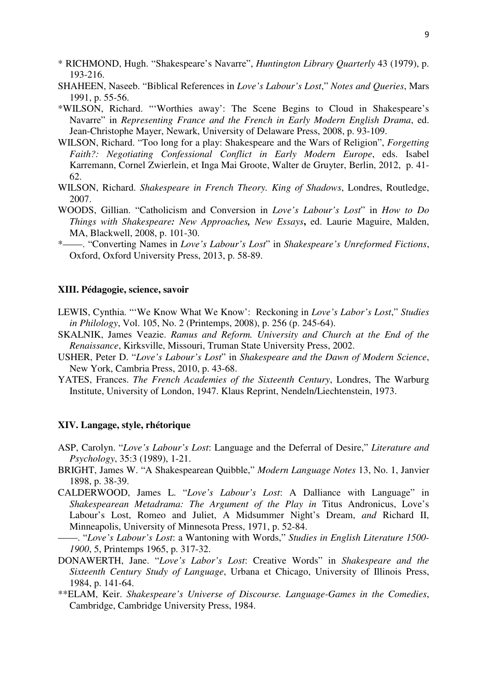- \* RICHMOND, Hugh. "Shakespeare's Navarre", *Huntington Library Quarterly* 43 (1979), p. 193-216.
- SHAHEEN, Naseeb. "Biblical References in *Love's Labour's Lost*," *Notes and Queries*, Mars 1991, p. 55-56.
- \*WILSON, Richard. "'Worthies away': The Scene Begins to Cloud in Shakespeare's Navarre" in *Representing France and the French in Early Modern English Drama*, ed. Jean-Christophe Mayer, Newark, University of Delaware Press, 2008, p. 93-109.
- WILSON, Richard. "Too long for a play: Shakespeare and the Wars of Religion", *Forgetting Faith?: Negotiating Confessional Conflict in Early Modern Europe*, eds. Isabel Karremann, Cornel Zwierlein, et Inga Mai Groote, Walter de Gruyter, Berlin, 2012, p. 41- 62.
- WILSON, Richard. *Shakespeare in French Theory. King of Shadows*, Londres, Routledge, 2007.
- WOODS, Gillian. "Catholicism and Conversion in *Love's Labour's Lost*" in *How to Do Things with Shakespeare: New Approaches, New Essays***,** ed. Laurie Maguire, Malden, MA, Blackwell, 2008, p. 101-30.
- \*——. "Converting Names in *Love's Labour's Lost*" in *Shakespeare's Unreformed Fictions*, Oxford, Oxford University Press, 2013, p. 58-89.

#### **XIII. Pédagogie, science, savoir**

- LEWIS, Cynthia. "'We Know What We Know': Reckoning in *Love's Labor's Lost*," *Studies in Philology*, Vol. 105, No. 2 (Printemps, 2008), p. 256 (p. 245-64).
- SKALNIK, James Veazie. *Ramus and Reform. University and Church at the End of the Renaissance*, Kirksville, Missouri, Truman State University Press, 2002.
- USHER, Peter D. "*Love's Labour's Lost*" in *Shakespeare and the Dawn of Modern Science*, New York, Cambria Press, 2010, p. 43-68.
- YATES, Frances. *The French Academies of the Sixteenth Century*, Londres, The Warburg Institute, University of London, 1947. Klaus Reprint, Nendeln/Liechtenstein, 1973.

#### **XIV. Langage, style, rhétorique**

- ASP, Carolyn. "*Love's Labour's Lost*: Language and the Deferral of Desire," *Literature and Psychology*, 35:3 (1989), 1-21.
- BRIGHT, James W. "A Shakespearean Quibble," *Modern Language Notes* 13, No. 1, Janvier 1898, p. 38-39.
- CALDERWOOD, James L. "*Love's Labour's Lost*: A Dalliance with Language" in *Shakespearean Metadrama: The Argument of the Play in* Titus Andronicus, Love's Labour's Lost, Romeo and Juliet, A Midsummer Night's Dream, *and* Richard II, Minneapolis, University of Minnesota Press, 1971, p. 52-84.
- ——. "*Love's Labour's Lost*: a Wantoning with Words," *Studies in English Literature 1500- 1900*, 5, Printemps 1965, p. 317-32.
- DONAWERTH, Jane. "*Love's Labor's Lost*: Creative Words" in *Shakespeare and the Sixteenth Century Study of Language*, Urbana et Chicago, University of Illinois Press, 1984, p. 141-64.
- \*\*ELAM, Keir. *Shakespeare's Universe of Discourse. Language-Games in the Comedies*, Cambridge, Cambridge University Press, 1984.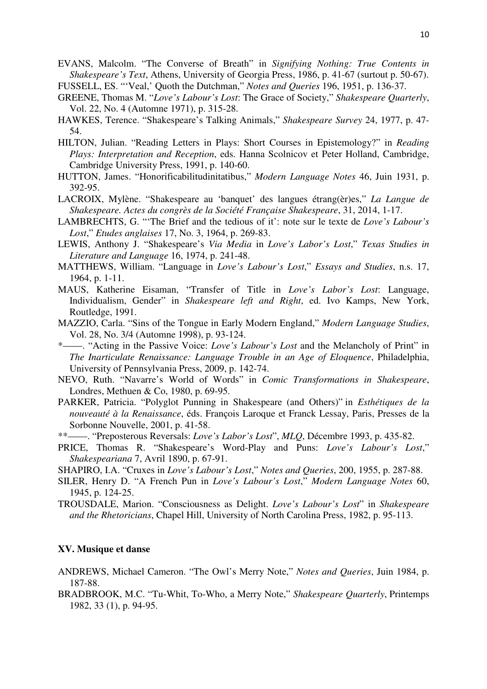- EVANS, Malcolm. "The Converse of Breath" in *Signifying Nothing: True Contents in Shakespeare's Text*, Athens, University of Georgia Press, 1986, p. 41-67 (surtout p. 50-67).
- FUSSELL, ES. "'Veal,' Quoth the Dutchman," *Notes and Queries* 196, 1951, p. 136-37.
- GREENE, Thomas M. "*Love's Labour's Lost*: The Grace of Society," *Shakespeare Quarterly*, Vol. 22, No. 4 (Automne 1971), p. 315-28.
- HAWKES, Terence. "Shakespeare's Talking Animals," *Shakespeare Survey* 24, 1977, p. 47- 54.
- HILTON, Julian. "Reading Letters in Plays: Short Courses in Epistemology?" in *Reading Plays: Interpretation and Reception*, eds. Hanna Scolnicov et Peter Holland, Cambridge, Cambridge University Press, 1991, p. 140-60.
- HUTTON, James. "Honorificabilitudinitatibus," *Modern Language Notes* 46, Juin 1931, p. 392-95.
- LACROIX, Mylène. "Shakespeare au 'banquet' des langues étrang(èr)es," *La Langue de Shakespeare. Actes du congrès de la Société Française Shakespeare*, 31, 2014, 1-17.
- LAMBRECHTS, G. "'The Brief and the tedious of it': note sur le texte de *Love's Labour's Lost*," *Etudes anglaises* 17, No. 3, 1964, p. 269-83.
- LEWIS, Anthony J. "Shakespeare's *Via Media* in *Love's Labor's Lost*," *Texas Studies in Literature and Language* 16, 1974, p. 241-48.
- MATTHEWS, William. "Language in *Love's Labour's Lost*," *Essays and Studies*, n.s. 17, 1964, p. 1-11.
- MAUS, Katherine Eisaman, "Transfer of Title in *Love's Labor's Lost*: Language, Individualism, Gender" in *Shakespeare left and Right*, ed. Ivo Kamps, New York, Routledge, 1991.
- MAZZIO, Carla. "Sins of the Tongue in Early Modern England," *Modern Language Studies*, Vol. 28, No. 3/4 (Automne 1998), p. 93-124.
- \*——. "Acting in the Passive Voice: *Love's Labour's Lost* and the Melancholy of Print" in *The Inarticulate Renaissance: Language Trouble in an Age of Eloquence*, Philadelphia, University of Pennsylvania Press, 2009, p. 142-74.
- NEVO, Ruth. "Navarre's World of Words" in *Comic Transformations in Shakespeare*, Londres, Methuen & Co, 1980, p. 69-95.
- PARKER, Patricia. "Polyglot Punning in Shakespeare (and Others)" in *Esthétiques de la nouveauté à la Renaissance*, éds. François Laroque et Franck Lessay, Paris, Presses de la Sorbonne Nouvelle, 2001, p. 41-58.
- \*\*——. "Preposterous Reversals: *Love's Labor's Lost*", *MLQ*, Décembre 1993, p. 435-82.
- PRICE, Thomas R. "Shakespeare's Word-Play and Puns: *Love's Labour's Lost*," *Shakespeariana* 7, Avril 1890, p. 67-91.
- SHAPIRO, I.A. "Cruxes in *Love's Labour's Lost*," *Notes and Queries*, 200, 1955, p. 287-88.
- SILER, Henry D. "A French Pun in *Love's Labour's Lost*," *Modern Language Notes* 60, 1945, p. 124-25.
- TROUSDALE, Marion. "Consciousness as Delight. *Love's Labour's Lost*" in *Shakespeare and the Rhetoricians*, Chapel Hill, University of North Carolina Press, 1982, p. 95-113.

## **XV. Musique et danse**

- ANDREWS, Michael Cameron. "The Owl's Merry Note," *Notes and Queries*, Juin 1984, p. 187-88.
- BRADBROOK, M.C. "Tu-Whit, To-Who, a Merry Note," *Shakespeare Quarterly*, Printemps 1982, 33 (1), p. 94-95.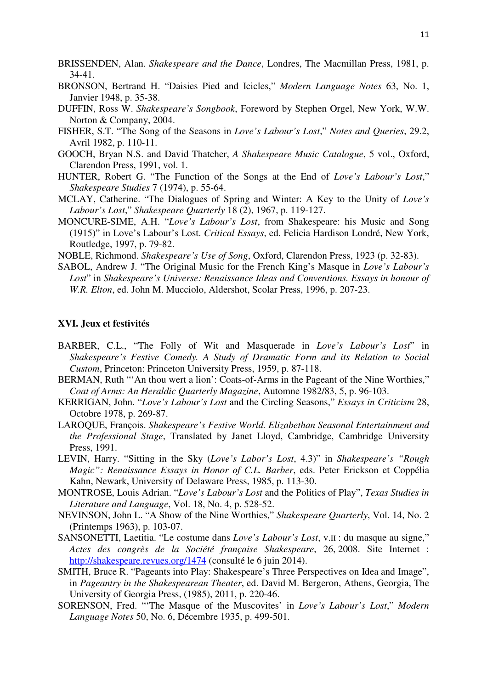- BRISSENDEN, Alan. *Shakespeare and the Dance*, Londres, The Macmillan Press, 1981, p. 34-41.
- BRONSON, Bertrand H. "Daisies Pied and Icicles," *Modern Language Notes* 63, No. 1, Janvier 1948, p. 35-38.
- DUFFIN, Ross W. *Shakespeare's Songbook*, Foreword by Stephen Orgel, New York, W.W. Norton & Company, 2004.
- FISHER, S.T. "The Song of the Seasons in *Love's Labour's Lost*," *Notes and Queries*, 29.2, Avril 1982, p. 110-11.
- GOOCH, Bryan N.S. and David Thatcher, *A Shakespeare Music Catalogue*, 5 vol., Oxford, Clarendon Press, 1991, vol. 1.
- HUNTER, Robert G. "The Function of the Songs at the End of *Love's Labour's Lost*," *Shakespeare Studies* 7 (1974), p. 55-64.
- MCLAY, Catherine. "The Dialogues of Spring and Winter: A Key to the Unity of *Love's Labour's Lost*," *Shakespeare Quarterly* 18 (2), 1967, p. 119-127.
- MONCURE-SIME, A.H. "*Love's Labour's Lost*, from Shakespeare: his Music and Song (1915)" in Love's Labour's Lost. *Critical Essays*, ed. Felicia Hardison Londré, New York, Routledge, 1997, p. 79-82.
- NOBLE, Richmond. *Shakespeare's Use of Song*, Oxford, Clarendon Press, 1923 (p. 32-83).
- SABOL, Andrew J. "The Original Music for the French King's Masque in *Love's Labour's Lost*" in *Shakespeare's Universe: Renaissance Ideas and Conventions. Essays in honour of W.R. Elton*, ed. John M. Mucciolo, Aldershot, Scolar Press, 1996, p. 207-23.

## **XVI. Jeux et festivités**

- BARBER, C.L., "The Folly of Wit and Masquerade in *Love's Labour's Lost*" in *Shakespeare's Festive Comedy. A Study of Dramatic Form and its Relation to Social Custom*, Princeton: Princeton University Press, 1959, p. 87-118.
- BERMAN, Ruth "'An thou wert a lion': Coats-of-Arms in the Pageant of the Nine Worthies," *Coat of Arms: An Heraldic Quarterly Magazine*, Automne 1982/83, 5, p. 96-103.
- KERRIGAN, John. "*Love's Labour's Lost* and the Circling Seasons," *Essays in Criticism* 28, Octobre 1978, p. 269-87.
- LAROQUE, François. *Shakespeare's Festive World. Elizabethan Seasonal Entertainment and the Professional Stage*, Translated by Janet Lloyd, Cambridge, Cambridge University Press, 1991.
- LEVIN, Harry. "Sitting in the Sky (*Love's Labor's Lost*, 4.3)" in *Shakespeare's "Rough Magic": Renaissance Essays in Honor of C.L. Barber*, eds. Peter Erickson et Coppélia Kahn, Newark, University of Delaware Press, 1985, p. 113-30.
- MONTROSE, Louis Adrian. "*Love's Labour's Lost* and the Politics of Play", *Texas Studies in Literature and Language*, Vol. 18, No. 4, p. 528-52.
- NEVINSON, John L. "A Show of the Nine Worthies," *Shakespeare Quarterly*, Vol. 14, No. 2 (Printemps 1963), p. 103-07.
- SANSONETTI, Laetitia. "Le costume dans *Love's Labour's Lost*, v.II : du masque au signe," *Actes des congrès de la Société française Shakespeare*, 26, 2008. Site Internet : http://shakespeare.revues.org/1474 (consulté le 6 juin 2014).
- SMITH, Bruce R. "Pageants into Play: Shakespeare's Three Perspectives on Idea and Image", in *Pageantry in the Shakespearean Theater*, ed. David M. Bergeron, Athens, Georgia, The University of Georgia Press, (1985), 2011, p. 220-46.
- SORENSON, Fred. "'The Masque of the Muscovites' in *Love's Labour's Lost*," *Modern Language Notes* 50, No. 6, Décembre 1935, p. 499-501.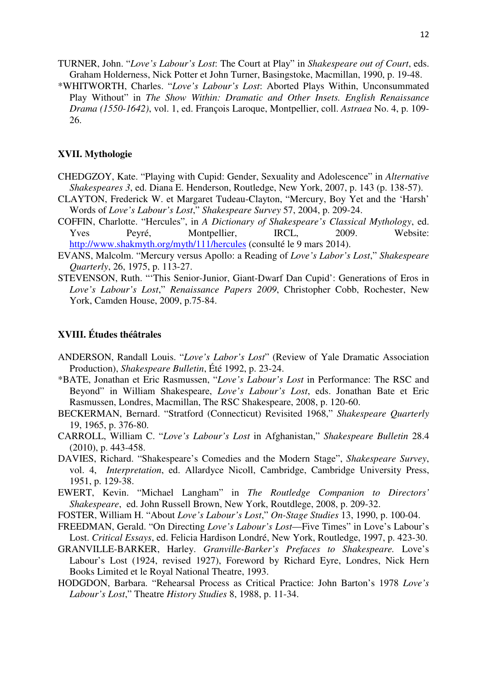- TURNER, John. "*Love's Labour's Lost*: The Court at Play" in *Shakespeare out of Court*, eds. Graham Holderness, Nick Potter et John Turner, Basingstoke, Macmillan, 1990, p. 19-48.
- \*WHITWORTH, Charles. "*Love's Labour's Lost*: Aborted Plays Within, Unconsummated Play Without" in *The Show Within: Dramatic and Other Insets. English Renaissance Drama (1550-1642)*, vol. 1, ed. François Laroque, Montpellier, coll. *Astraea* No. 4, p. 109- 26.

#### **XVII. Mythologie**

- CHEDGZOY, Kate. "Playing with Cupid: Gender, Sexuality and Adolescence" in *Alternative Shakespeares 3*, ed. Diana E. Henderson, Routledge, New York, 2007, p. 143 (p. 138-57).
- CLAYTON, Frederick W. et Margaret Tudeau-Clayton, "Mercury, Boy Yet and the 'Harsh' Words of *Love's Labour's Lost*," *Shakespeare Survey* 57, 2004, p. 209-24.
- COFFIN, Charlotte. "Hercules", in *A Dictionary of Shakespeare's Classical Mythology*, ed. Yves Peyré, Montpellier, IRCL, 2009. Website: http://www.shakmyth.org/myth/111/hercules (consulté le 9 mars 2014).
- EVANS, Malcolm. "Mercury versus Apollo: a Reading of *Love's Labor's Lost*," *Shakespeare Quarterly*, 26, 1975, p. 113-27.
- STEVENSON, Ruth. "'This Senior-Junior, Giant-Dwarf Dan Cupid': Generations of Eros in *Love's Labour's Lost*," *Renaissance Papers 2009*, Christopher Cobb, Rochester, New York, Camden House, 2009, p.75-84.

## **XVIII. Études théâtrales**

- ANDERSON, Randall Louis. "*Love's Labor's Lost*" (Review of Yale Dramatic Association Production), *Shakespeare Bulletin*, Été 1992, p. 23-24.
- \*BATE, Jonathan et Eric Rasmussen, "*Love's Labour's Lost* in Performance: The RSC and Beyond" in William Shakespeare, *Love's Labour's Lost*, eds. Jonathan Bate et Eric Rasmussen, Londres, Macmillan, The RSC Shakespeare, 2008, p. 120-60.
- BECKERMAN, Bernard. "Stratford (Connecticut) Revisited 1968," *Shakespeare Quarterly* 19, 1965, p. 376-80.
- CARROLL, William C. "*Love's Labour's Lost* in Afghanistan," *Shakespeare Bulletin* 28.4 (2010), p. 443-458.
- DAVIES, Richard. "Shakespeare's Comedies and the Modern Stage", *Shakespeare Survey*, vol. 4, *Interpretation*, ed. Allardyce Nicoll, Cambridge, Cambridge University Press, 1951, p. 129-38.
- EWERT, Kevin. "Michael Langham" in *The Routledge Companion to Directors' Shakespeare*, ed. John Russell Brown, New York, Routdlege, 2008, p. 209-32.
- FOSTER, William H. "About *Love's Labour's Lost*," *On-Stage Studies* 13, 1990, p. 100-04.
- FREEDMAN, Gerald. "On Directing *Love's Labour's Lost*—Five Times" in Love's Labour's Lost. *Critical Essays*, ed. Felicia Hardison Londré, New York, Routledge, 1997, p. 423-30.
- GRANVILLE-BARKER, Harley. *Granville-Barker's Prefaces to Shakespeare.* Love's Labour's Lost (1924, revised 1927), Foreword by Richard Eyre, Londres, Nick Hern Books Limited et le Royal National Theatre, 1993.
- HODGDON, Barbara. "Rehearsal Process as Critical Practice: John Barton's 1978 *Love's Labour's Lost*," Theatre *History Studies* 8, 1988, p. 11-34.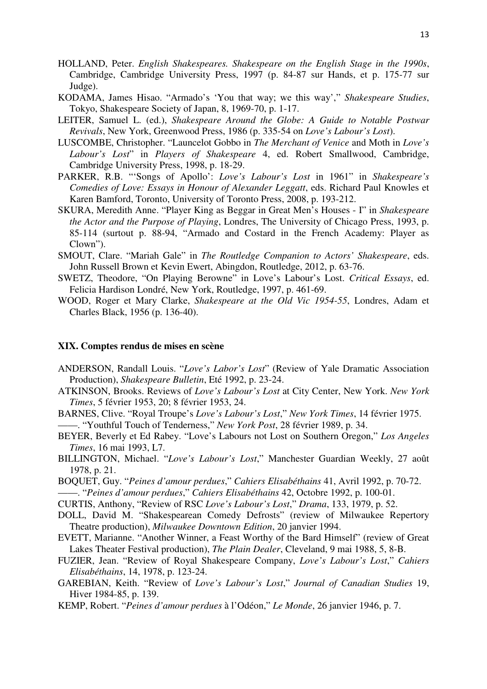- HOLLAND, Peter. *English Shakespeares. Shakespeare on the English Stage in the 1990s*, Cambridge, Cambridge University Press, 1997 (p. 84-87 sur Hands, et p. 175-77 sur Judge).
- KODAMA, James Hisao. "Armado's 'You that way; we this way'," *Shakespeare Studies*, Tokyo, Shakespeare Society of Japan, 8, 1969-70, p. 1-17.
- LEITER, Samuel L. (ed.), *Shakespeare Around the Globe: A Guide to Notable Postwar Revivals*, New York, Greenwood Press, 1986 (p. 335-54 on *Love's Labour's Lost*).
- LUSCOMBE, Christopher. "Launcelot Gobbo in *The Merchant of Venice* and Moth in *Love's Labour's Lost*" in *Players of Shakespeare* 4, ed. Robert Smallwood, Cambridge, Cambridge University Press, 1998, p. 18-29.
- PARKER, R.B. "'Songs of Apollo': *Love's Labour's Lost* in 1961" in *Shakespeare's Comedies of Love: Essays in Honour of Alexander Leggatt*, eds. Richard Paul Knowles et Karen Bamford, Toronto, University of Toronto Press, 2008, p. 193-212.
- SKURA, Meredith Anne. "Player King as Beggar in Great Men's Houses I" in *Shakespeare the Actor and the Purpose of Playing*, Londres, The University of Chicago Press, 1993, p. 85-114 (surtout p. 88-94, "Armado and Costard in the French Academy: Player as Clown").
- SMOUT, Clare. "Mariah Gale" in *The Routledge Companion to Actors' Shakespeare*, eds. John Russell Brown et Kevin Ewert, Abingdon, Routledge, 2012, p. 63-76.
- SWETZ, Theodore, "On Playing Berowne" in Love's Labour's Lost. *Critical Essays*, ed. Felicia Hardison Londré, New York, Routledge, 1997, p. 461-69.
- WOOD, Roger et Mary Clarke, *Shakespeare at the Old Vic 1954-55*, Londres, Adam et Charles Black, 1956 (p. 136-40).

## **XIX. Comptes rendus de mises en scène**

- ANDERSON, Randall Louis. "*Love's Labor's Lost*" (Review of Yale Dramatic Association Production), *Shakespeare Bulletin*, Eté 1992, p. 23-24.
- ATKINSON, Brooks. Reviews of *Love's Labour's Lost* at City Center, New York. *New York Times*, 5 février 1953, 20; 8 février 1953, 24.
- BARNES, Clive. "Royal Troupe's *Love's Labour's Lost*," *New York Times*, 14 février 1975.

——. "Youthful Touch of Tenderness," *New York Post*, 28 février 1989, p. 34.

- BEYER, Beverly et Ed Rabey. "Love's Labours not Lost on Southern Oregon," *Los Angeles Times*, 16 mai 1993, L7.
- BILLINGTON, Michael. "*Love's Labour's Lost*," Manchester Guardian Weekly, 27 août 1978, p. 21.
- BOQUET, Guy. "*Peines d'amour perdues*," *Cahiers Elisabéthains* 41, Avril 1992, p. 70-72. ——. "*Peines d'amour perdues*," *Cahiers Elisabéthains* 42, Octobre 1992, p. 100-01.
- 
- CURTIS, Anthony, "Review of RSC *Love's Labour's Lost*," *Drama*, 133, 1979, p. 52.
- DOLL, David M. "Shakespearean Comedy Defrosts" (review of Milwaukee Repertory Theatre production), *Milwaukee Downtown Edition*, 20 janvier 1994.
- EVETT, Marianne. "Another Winner, a Feast Worthy of the Bard Himself" (review of Great Lakes Theater Festival production), *The Plain Dealer*, Cleveland, 9 mai 1988, 5, 8-B.
- FUZIER, Jean. "Review of Royal Shakespeare Company, *Love's Labour's Lost*," *Cahiers Elisabéthains*, 14, 1978, p. 123-24.
- GAREBIAN, Keith. "Review of *Love's Labour's Lost*," *Journal of Canadian Studies* 19, Hiver 1984-85, p. 139.
- KEMP, Robert. "*Peines d'amour perdues* à l'Odéon," *Le Monde*, 26 janvier 1946, p. 7.